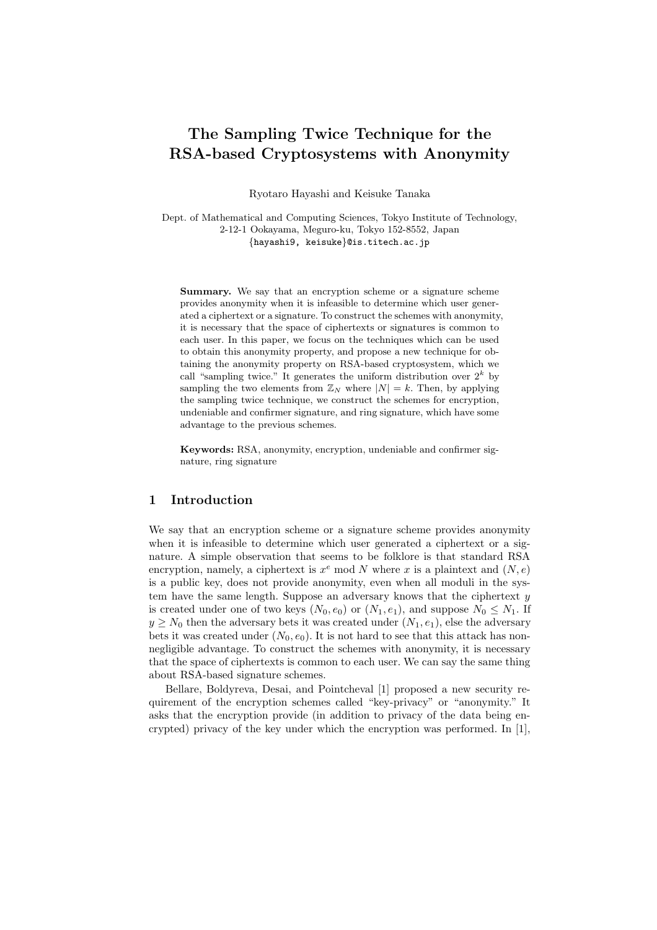# The Sampling Twice Technique for the RSA-based Cryptosystems with Anonymity

Ryotaro Hayashi and Keisuke Tanaka

Dept. of Mathematical and Computing Sciences, Tokyo Institute of Technology, 2-12-1 Ookayama, Meguro-ku, Tokyo 152-8552, Japan {hayashi9, keisuke}@is.titech.ac.jp

Summary. We say that an encryption scheme or a signature scheme provides anonymity when it is infeasible to determine which user generated a ciphertext or a signature. To construct the schemes with anonymity, it is necessary that the space of ciphertexts or signatures is common to each user. In this paper, we focus on the techniques which can be used to obtain this anonymity property, and propose a new technique for obtaining the anonymity property on RSA-based cryptosystem, which we call "sampling twice." It generates the uniform distribution over  $2^k$  by sampling the two elements from  $\mathbb{Z}_N$  where  $|N| = k$ . Then, by applying the sampling twice technique, we construct the schemes for encryption, undeniable and confirmer signature, and ring signature, which have some advantage to the previous schemes.

Keywords: RSA, anonymity, encryption, undeniable and confirmer signature, ring signature

# 1 Introduction

We say that an encryption scheme or a signature scheme provides anonymity when it is infeasible to determine which user generated a ciphertext or a signature. A simple observation that seems to be folklore is that standard RSA encryption, namely, a ciphertext is  $x^e \mod N$  where x is a plaintext and  $(N, e)$ is a public key, does not provide anonymity, even when all moduli in the system have the same length. Suppose an adversary knows that the ciphertext  $y$ is created under one of two keys  $(N_0, e_0)$  or  $(N_1, e_1)$ , and suppose  $N_0 \leq N_1$ . If  $y \geq N_0$  then the adversary bets it was created under  $(N_1, e_1)$ , else the adversary bets it was created under  $(N_0, e_0)$ . It is not hard to see that this attack has nonnegligible advantage. To construct the schemes with anonymity, it is necessary that the space of ciphertexts is common to each user. We can say the same thing about RSA-based signature schemes.

Bellare, Boldyreva, Desai, and Pointcheval [1] proposed a new security requirement of the encryption schemes called "key-privacy" or "anonymity." It asks that the encryption provide (in addition to privacy of the data being encrypted) privacy of the key under which the encryption was performed. In [1],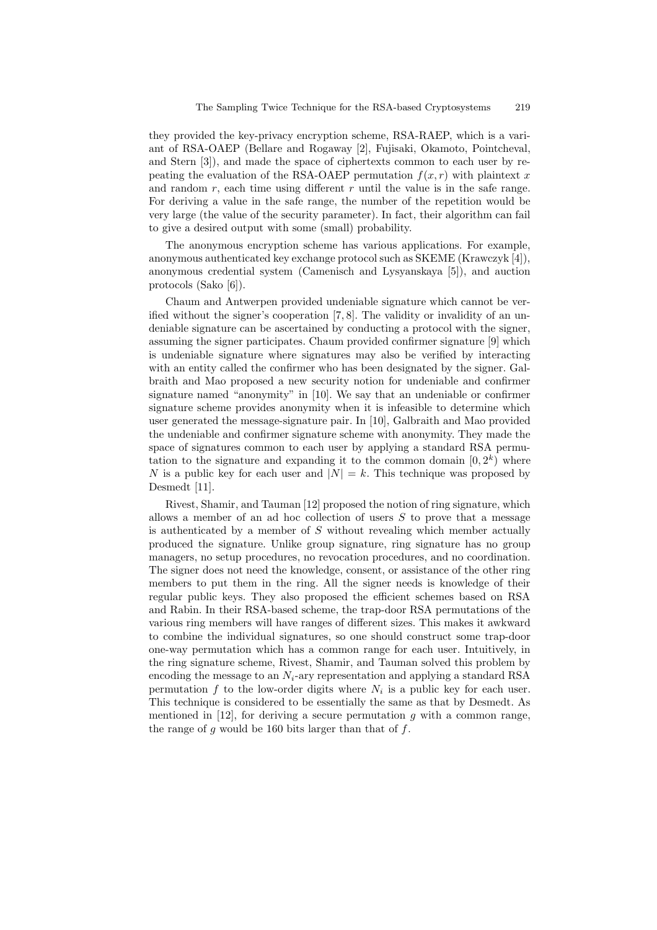they provided the key-privacy encryption scheme, RSA-RAEP, which is a variant of RSA-OAEP (Bellare and Rogaway [2], Fujisaki, Okamoto, Pointcheval, and Stern [3]), and made the space of ciphertexts common to each user by repeating the evaluation of the RSA-OAEP permutation  $f(x, r)$  with plaintext x and random  $r$ , each time using different  $r$  until the value is in the safe range. For deriving a value in the safe range, the number of the repetition would be very large (the value of the security parameter). In fact, their algorithm can fail to give a desired output with some (small) probability.

The anonymous encryption scheme has various applications. For example, anonymous authenticated key exchange protocol such as SKEME (Krawczyk [4]), anonymous credential system (Camenisch and Lysyanskaya [5]), and auction protocols (Sako [6]).

Chaum and Antwerpen provided undeniable signature which cannot be verified without the signer's cooperation [7, 8]. The validity or invalidity of an undeniable signature can be ascertained by conducting a protocol with the signer, assuming the signer participates. Chaum provided confirmer signature [9] which is undeniable signature where signatures may also be verified by interacting with an entity called the confirmer who has been designated by the signer. Galbraith and Mao proposed a new security notion for undeniable and confirmer signature named "anonymity" in [10]. We say that an undeniable or confirmer signature scheme provides anonymity when it is infeasible to determine which user generated the message-signature pair. In [10], Galbraith and Mao provided the undeniable and confirmer signature scheme with anonymity. They made the space of signatures common to each user by applying a standard RSA permutation to the signature and expanding it to the common domain  $[0, 2<sup>k</sup>)$  where N is a public key for each user and  $|N| = k$ . This technique was proposed by Desmedt [11].

Rivest, Shamir, and Tauman [12] proposed the notion of ring signature, which allows a member of an ad hoc collection of users  $S$  to prove that a message is authenticated by a member of  $S$  without revealing which member actually produced the signature. Unlike group signature, ring signature has no group managers, no setup procedures, no revocation procedures, and no coordination. The signer does not need the knowledge, consent, or assistance of the other ring members to put them in the ring. All the signer needs is knowledge of their regular public keys. They also proposed the efficient schemes based on RSA and Rabin. In their RSA-based scheme, the trap-door RSA permutations of the various ring members will have ranges of different sizes. This makes it awkward to combine the individual signatures, so one should construct some trap-door one-way permutation which has a common range for each user. Intuitively, in the ring signature scheme, Rivest, Shamir, and Tauman solved this problem by encoding the message to an  $N_i$ -ary representation and applying a standard RSA permutation  $f$  to the low-order digits where  $N_i$  is a public key for each user. This technique is considered to be essentially the same as that by Desmedt. As mentioned in [12], for deriving a secure permutation q with a common range, the range of g would be 160 bits larger than that of  $f$ .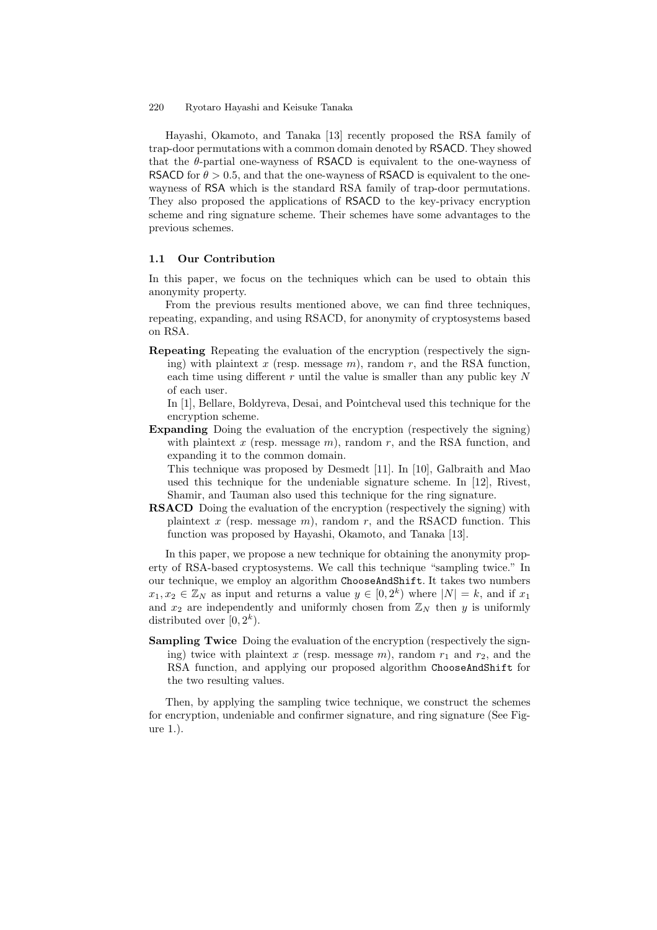Hayashi, Okamoto, and Tanaka [13] recently proposed the RSA family of trap-door permutations with a common domain denoted by RSACD. They showed that the  $\theta$ -partial one-wayness of RSACD is equivalent to the one-wayness of RSACD for  $\theta > 0.5$ , and that the one-wayness of RSACD is equivalent to the onewayness of RSA which is the standard RSA family of trap-door permutations. They also proposed the applications of RSACD to the key-privacy encryption scheme and ring signature scheme. Their schemes have some advantages to the previous schemes.

## 1.1 Our Contribution

In this paper, we focus on the techniques which can be used to obtain this anonymity property.

From the previous results mentioned above, we can find three techniques, repeating, expanding, and using RSACD, for anonymity of cryptosystems based on RSA.

Repeating Repeating the evaluation of the encryption (respectively the signing) with plaintext x (resp. message  $m$ ), random  $r$ , and the RSA function, each time using different  $r$  until the value is smaller than any public key  $N$ of each user.

In [1], Bellare, Boldyreva, Desai, and Pointcheval used this technique for the encryption scheme.

Expanding Doing the evaluation of the encryption (respectively the signing) with plaintext x (resp. message  $m$ ), random r, and the RSA function, and expanding it to the common domain.

This technique was proposed by Desmedt [11]. In [10], Galbraith and Mao used this technique for the undeniable signature scheme. In [12], Rivest, Shamir, and Tauman also used this technique for the ring signature.

RSACD Doing the evaluation of the encryption (respectively the signing) with plaintext  $x$  (resp. message  $m$ ), random  $r$ , and the RSACD function. This function was proposed by Hayashi, Okamoto, and Tanaka [13].

In this paper, we propose a new technique for obtaining the anonymity property of RSA-based cryptosystems. We call this technique "sampling twice." In our technique, we employ an algorithm ChooseAndShift. It takes two numbers  $x_1, x_2 \in \mathbb{Z}_N$  as input and returns a value  $y \in [0, 2^k)$  where  $|N| = k$ , and if  $x_1$ and  $x_2$  are independently and uniformly chosen from  $\mathbb{Z}_N$  then y is uniformly distributed over  $[0, 2<sup>k</sup>)$ .

Sampling Twice Doing the evaluation of the encryption (respectively the signing) twice with plaintext x (resp. message  $m$ ), random  $r_1$  and  $r_2$ , and the RSA function, and applying our proposed algorithm ChooseAndShift for the two resulting values.

Then, by applying the sampling twice technique, we construct the schemes for encryption, undeniable and confirmer signature, and ring signature (See Figure 1.).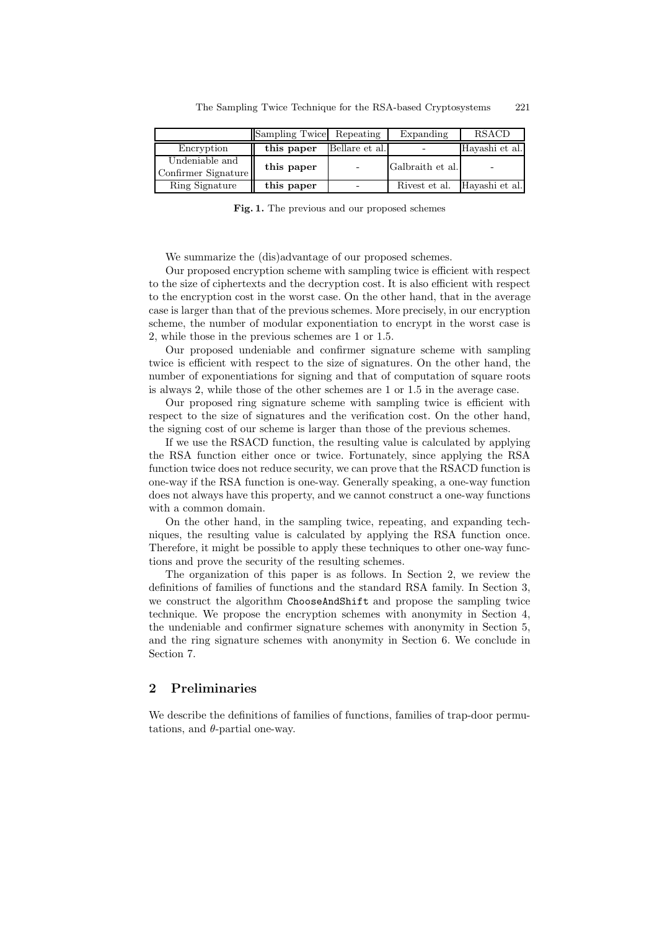|                                       | Sampling Twice Repeating |                | Expanding                    | <b>RSACD</b>   |
|---------------------------------------|--------------------------|----------------|------------------------------|----------------|
| Encryption                            | this paper               | Bellare et al. |                              | Hayashi et al. |
| Undeniable and<br>Confirmer Signature | this paper               | $\sim$         | Galbraith et al.             |                |
| Ring Signature                        | this paper               |                | Rivest et al. Hayashi et al. |                |

Fig. 1. The previous and our proposed schemes

We summarize the (dis)advantage of our proposed schemes.

Our proposed encryption scheme with sampling twice is efficient with respect to the size of ciphertexts and the decryption cost. It is also efficient with respect to the encryption cost in the worst case. On the other hand, that in the average case is larger than that of the previous schemes. More precisely, in our encryption scheme, the number of modular exponentiation to encrypt in the worst case is 2, while those in the previous schemes are 1 or 1.5.

Our proposed undeniable and confirmer signature scheme with sampling twice is efficient with respect to the size of signatures. On the other hand, the number of exponentiations for signing and that of computation of square roots is always 2, while those of the other schemes are 1 or 1.5 in the average case.

Our proposed ring signature scheme with sampling twice is efficient with respect to the size of signatures and the verification cost. On the other hand, the signing cost of our scheme is larger than those of the previous schemes.

If we use the RSACD function, the resulting value is calculated by applying the RSA function either once or twice. Fortunately, since applying the RSA function twice does not reduce security, we can prove that the RSACD function is one-way if the RSA function is one-way. Generally speaking, a one-way function does not always have this property, and we cannot construct a one-way functions with a common domain.

On the other hand, in the sampling twice, repeating, and expanding techniques, the resulting value is calculated by applying the RSA function once. Therefore, it might be possible to apply these techniques to other one-way functions and prove the security of the resulting schemes.

The organization of this paper is as follows. In Section 2, we review the definitions of families of functions and the standard RSA family. In Section 3, we construct the algorithm ChooseAndShift and propose the sampling twice technique. We propose the encryption schemes with anonymity in Section 4, the undeniable and confirmer signature schemes with anonymity in Section 5, and the ring signature schemes with anonymity in Section 6. We conclude in Section 7.

# 2 Preliminaries

We describe the definitions of families of functions, families of trap-door permutations, and  $\theta$ -partial one-way.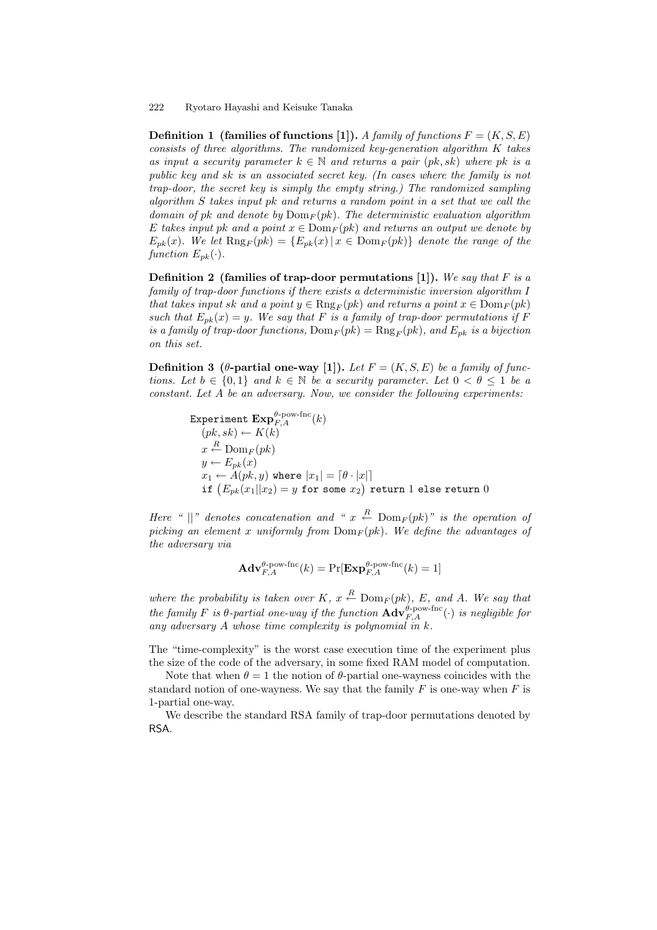**Definition 1** (families of functions [1]). A family of functions  $F = (K, S, E)$ consists of three algorithms. The randomized key-generation algorithm K takes as input a security parameter  $k \in \mathbb{N}$  and returns a pair  $(pk, sk)$  where pk is a public key and sk is an associated secret key. (In cases where the family is not trap-door, the secret key is simply the empty string.) The randomized sampling algorithm S takes input pk and returns a random point in a set that we call the domain of pk and denote by  $\text{Dom}_F (pk)$ . The deterministic evaluation algorithm E takes input pk and a point  $x \in \text{Dom}_F (pk)$  and returns an output we denote by  $E_{pk}(x)$ . We let  $\text{Rng}_F(pk) = \{E_{pk}(x) | x \in \text{Dom}_F(pk)\}\$  denote the range of the function  $E_{pk}(\cdot)$ .

Definition 2 (families of trap-door permutations [1]). We say that  $F$  is a family of trap-door functions if there exists a deterministic inversion algorithm I that takes input sk and a point  $y \in \text{Rng}_F(pk)$  and returns a point  $x \in \text{Dom}_F(pk)$ such that  $E_{pk}(x) = y$ . We say that F is a family of trap-door permutations if F is a family of trap-door functions,  $\text{Dom}_F(pk) = \text{Rng}_F(pk)$ , and  $E_{pk}$  is a bijection on this set.

Definition 3 ( $\theta$ -partial one-way [1]). Let  $F = (K, S, E)$  be a family of functions. Let  $b \in \{0,1\}$  and  $k \in \mathbb{N}$  be a security parameter. Let  $0 < \theta \leq 1$  be a constant. Let A be an adversary. Now, we consider the following experiments:

> Experiment  $\mathrm{Exp}_{F,A}^{\theta\text{-pow-fnc}}(k)$  $(pk, sk) \leftarrow K(k)$  $x \stackrel{R}{\leftarrow} \text{Dom}_F(pk)$  $y \leftarrow E_{pk}(x)$  $x_1 \leftarrow A(pk, y)$  where  $|x_1| = \lceil \theta \cdot |x| \rceil$ if  $\big(E_{pk}(x_1 || x_2) = y$  for some  $x_2\big)$  return  $1$  else return  $0$

Here " ||" denotes concatenation and "  $x \stackrel{R}{\leftarrow} \text{Dom}_F(pk)$ " is the operation of picking an element x uniformly from  $\text{Dom}_F (pk)$ . We define the advantages of the adversary via

$$
\mathbf{Adv}_{F,A}^{\theta\text{-pow-fnc}}(k) = \Pr[\mathbf{Exp}_{F,A}^{\theta\text{-pow-fnc}}(k) = 1]
$$

where the probability is taken over K,  $x \stackrel{R}{\leftarrow} \text{Dom}_F(pk)$ , E, and A. We say that the family F is  $\theta$ -partial one-way if the function  $\mathbf{Adv}_{F,A}^{\theta\text{-pow-fnc}}(\cdot)$  is negligible for any adversary  $A$  whose time complexity is polynomial in  $k$ .

The "time-complexity" is the worst case execution time of the experiment plus the size of the code of the adversary, in some fixed RAM model of computation.

Note that when  $\theta = 1$  the notion of  $\theta$ -partial one-wayness coincides with the standard notion of one-wayness. We say that the family  $F$  is one-way when  $F$  is 1-partial one-way.

We describe the standard RSA family of trap-door permutations denoted by RSA.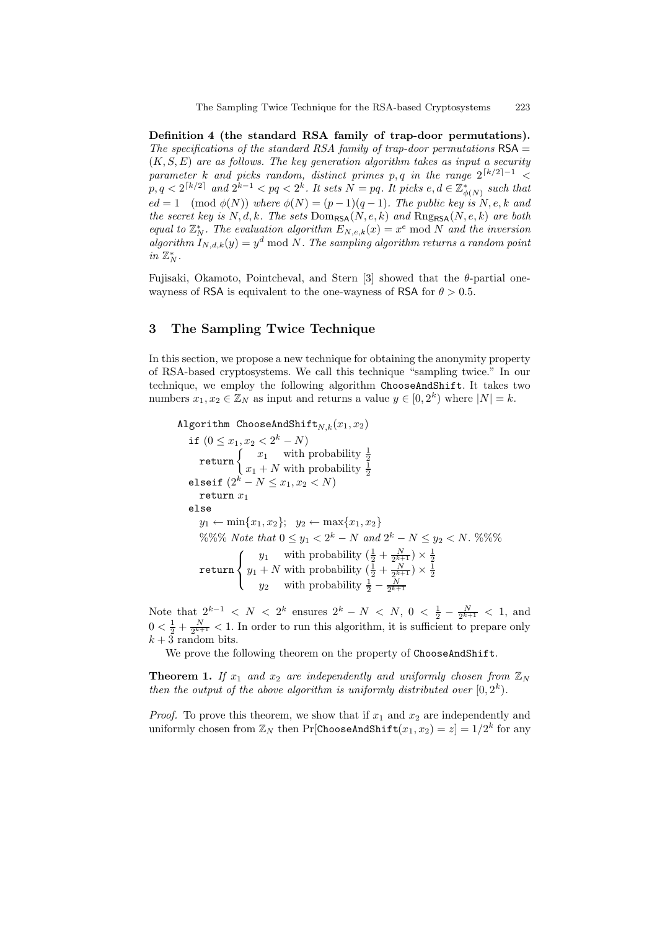Definition 4 (the standard RSA family of trap-door permutations). The specifications of the standard RSA family of trap-door permutations  $\text{RSA} =$  $(K, S, E)$  are as follows. The key generation algorithm takes as input a security parameter k and picks random, distinct primes  $p, q$  in the range  $2^{\lceil k/2 \rceil - 1}$  <  $p, q < 2^{\lceil k/2 \rceil}$  and  $2^{k-1} < pq < 2^k$ . It sets  $N = pq$ . It picks  $e, d \in \mathbb{Z}_{\phi(N)}^*$  such that  $ed = 1 \pmod{\phi(N)}$  where  $\phi(N) = (p-1)(q-1)$ . The public key is  $N, e, k$  and the secret key is N, d, k. The sets  $Dom_{BSA}(N, e, k)$  and  $Rn_{BSA}(N, e, k)$  are both equal to  $\mathbb{Z}_N^*$ . The evaluation algorithm  $E_{N,e,k}(x) = x^e \mod N$  and the inversion algorithm  $I_{N,d,k}(y) = y^d \mod N$ . The sampling algorithm returns a random point in  $\mathbb{Z}_N^*$ .

Fujisaki, Okamoto, Pointcheval, and Stern [3] showed that the  $\theta$ -partial onewayness of RSA is equivalent to the one-wayness of RSA for  $\theta > 0.5$ .

# 3 The Sampling Twice Technique

In this section, we propose a new technique for obtaining the anonymity property of RSA-based cryptosystems. We call this technique "sampling twice." In our technique, we employ the following algorithm ChooseAndShift. It takes two numbers  $x_1, x_2 \in \mathbb{Z}_N$  as input and returns a value  $y \in [0, 2^k)$  where  $|N| = k$ .

```
Algorithm ChooseAndShift<sub>N,k</sub>(x_1, x_2)if (0 \le x_1, x_2 < 2^k - N)\text{return } \begin{cases} x_1 & \text{with probability } \frac{1}{2} \\ x_1 + N & \text{with probability } \frac{1}{2} \end{cases}elseif (2^k - N \le x_1, x_2 < N)return x_1else
        y_1 \leftarrow \min\{x_1, x_2\}; \quad y_2 \leftarrow \max\{x_1, x_2\}\%%% Note that 0 \le y_1 < 2^k - N and 2^k - N \le y_2 < N. \%%%
         return
                       \sqrt{ }<sup>J</sup>
                       \mathcal{L}y_1 with probability \left(\frac{1}{2} + \frac{N}{2^{k+1}}\right) \times \frac{1}{2}y_1 + N with probability \left(\frac{1}{2} + \frac{N}{2^{k+1}}\right) \times \frac{1}{2}y_2 with probability \frac{1}{2} - \frac{N}{2^{k+1}}
```
Note that  $2^{k-1} < N < 2^k$  ensures  $2^k - N < N$ ,  $0 < \frac{1}{2} - \frac{N}{2^{k+1}} < 1$ , and  $0 < \frac{1}{2} + \frac{N}{2^{k+1}} < 1$ . In order to run this algorithm, it is sufficient to prepare only  $k + 3$  random bits.

We prove the following theorem on the property of ChooseAndShift.

**Theorem 1.** If  $x_1$  and  $x_2$  are independently and uniformly chosen from  $\mathbb{Z}_N$ then the output of the above algorithm is uniformly distributed over  $[0, 2^k)$ .

*Proof.* To prove this theorem, we show that if  $x_1$  and  $x_2$  are independently and uniformly chosen from  $\mathbb{Z}_N$  then Pr[ChooseAndShift $(x_1, x_2) = z$ ] = 1/2<sup>k</sup> for any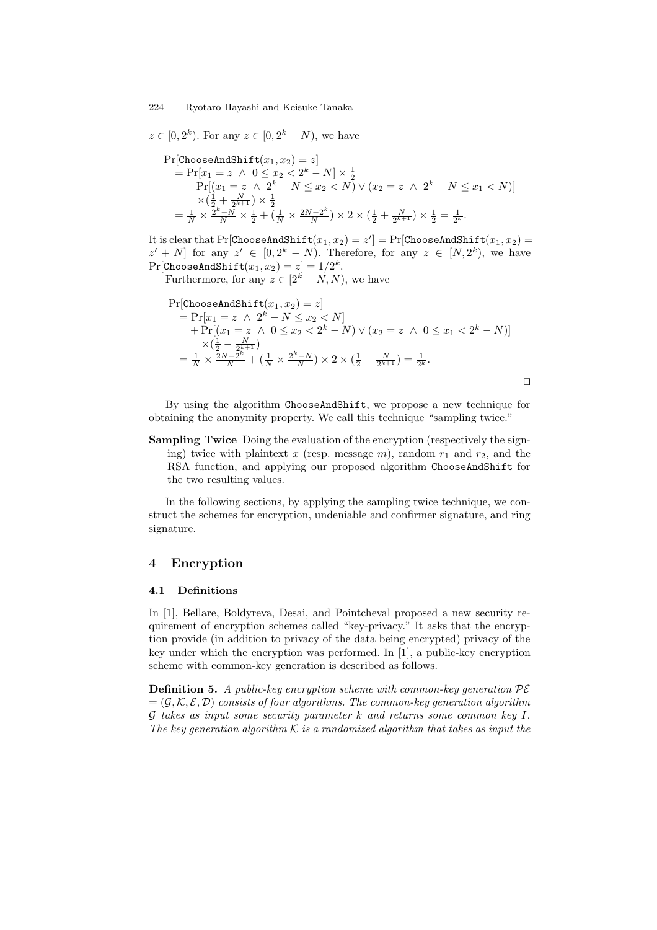$z \in [0, 2^k)$ . For any  $z \in [0, 2^k - N)$ , we have

$$
\Pr[\text{ChooseAndShift}(x_1, x_2) = z] \n= \Pr[x_1 = z \land 0 \le x_2 < 2^k - N] \times \frac{1}{2} \n+ \Pr[(x_1 = z \land 2^k - N \le x_2 < N) \lor (x_2 = z \land 2^k - N \le x_1 < N)] \n\times (\frac{1}{2} + \frac{N}{2^{k+1}}) \times \frac{1}{2} \n= \frac{1}{N} \times \frac{2^k - N}{N} \times \frac{1}{2} + (\frac{1}{N} \times \frac{2N - 2^k}{N}) \times 2 \times (\frac{1}{2} + \frac{N}{2^{k+1}}) \times \frac{1}{2} = \frac{1}{2^k}.
$$

It is clear that  $\Pr[\texttt{ChooseAndShift}(x_1, x_2) = z'] = \Pr[\texttt{ChooseAndShift}(x_1, x_2) = z']$  $z' + N$  for any  $z' \in [0, 2^k - N)$ . Therefore, for any  $z \in [N, 2^k)$ , we have  $\Pr[\texttt{ChooseAndShift}(x_1, x_2) = z] = 1/2^k.$ 

Furthermore, for any  $z \in [2^k - N, N)$ , we have

$$
\Pr[\text{ChooseAndShift}(x_1, x_2) = z] \n= \Pr[x_1 = z \land 2^k - N \le x_2 < N] \n+ \Pr[(x_1 = z \land 0 \le x_2 < 2^k - N) \lor (x_2 = z \land 0 \le x_1 < 2^k - N)] \n\times (\frac{1}{2} - \frac{N}{2^{k+1}}) \n= \frac{1}{N} \times \frac{2N - 2^k}{N} + (\frac{1}{N} \times \frac{2^k - N}{N}) \times 2 \times (\frac{1}{2} - \frac{N}{2^{k+1}}) = \frac{1}{2^k}.
$$

 $\Box$ 

By using the algorithm ChooseAndShift, we propose a new technique for obtaining the anonymity property. We call this technique "sampling twice."

Sampling Twice Doing the evaluation of the encryption (respectively the signing) twice with plaintext x (resp. message m), random  $r_1$  and  $r_2$ , and the RSA function, and applying our proposed algorithm ChooseAndShift for the two resulting values.

In the following sections, by applying the sampling twice technique, we construct the schemes for encryption, undeniable and confirmer signature, and ring signature.

## 4 Encryption

## 4.1 Definitions

In [1], Bellare, Boldyreva, Desai, and Pointcheval proposed a new security requirement of encryption schemes called "key-privacy." It asks that the encryption provide (in addition to privacy of the data being encrypted) privacy of the key under which the encryption was performed. In [1], a public-key encryption scheme with common-key generation is described as follows.

**Definition 5.** A public-key encryption scheme with common-key generation  $\mathcal{PE}$  $=(\mathcal{G}, \mathcal{K}, \mathcal{E}, \mathcal{D})$  consists of four algorithms. The common-key generation algorithm  $\mathcal G$  takes as input some security parameter k and returns some common key  $I$ . The key generation algorithm  $K$  is a randomized algorithm that takes as input the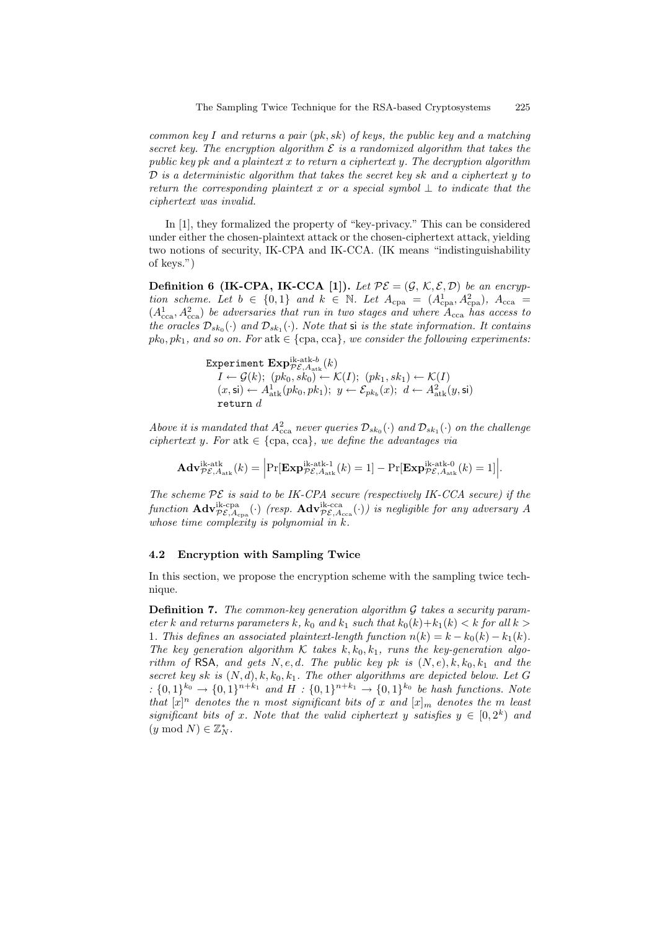common key I and returns a pair  $(pk, sk)$  of keys, the public key and a matching secret key. The encryption algorithm  $\mathcal E$  is a randomized algorithm that takes the public key pk and a plaintext x to return a ciphertext y. The decryption algorithm  $D$  is a deterministic algorithm that takes the secret key sk and a ciphertext  $y$  to return the corresponding plaintext x or a special symbol  $\perp$  to indicate that the ciphertext was invalid.

In [1], they formalized the property of "key-privacy." This can be considered under either the chosen-plaintext attack or the chosen-ciphertext attack, yielding two notions of security, IK-CPA and IK-CCA. (IK means "indistinguishability of keys.")

**Definition 6 (IK-CPA, IK-CCA [1]).** Let  $\mathcal{PE} = (\mathcal{G}, \mathcal{K}, \mathcal{E}, \mathcal{D})$  be an encryption scheme. Let  $b \in \{0,1\}$  and  $k \in \mathbb{N}$ . Let  $A_{\text{cpa}} = (A_{\text{cpa}}^1, A_{\text{cpa}}^2)$ ,  $A_{\text{cca}} =$  $(A_{\text{cca}}^1, A_{\text{cca}}^2)$  be adversaries that run in two stages and where  $A_{\text{cca}}$  has access to the oracles  $\mathcal{D}_{sk_0}(\cdot)$  and  $\mathcal{D}_{sk_1}(\cdot)$ . Note that si is the state information. It contains  $pk_0, pk_1$ , and so on. For atk  $\in \{cpa, cca\}$ , we consider the following experiments:

> Experiment  $\mathrm{Exp}_{\mathcal{PE},A_{\text{atk}}}(k)$  $I \leftarrow \mathcal{G}(k); (pk_0, sk_0) \leftarrow \mathcal{K}(I); (pk_1, sk_1) \leftarrow \mathcal{K}(I)$  $(x, \mathsf{s}) \leftarrow A^1_{\text{atk}}(pk_0, pk_1); \ \ y \leftarrow \mathcal{E}_{pk_b}(x); \ \ d \leftarrow A^2_{\text{atk}}(y, \mathsf{s})$ return  $d$

Above it is mandated that  $A_{\text{cca}}^2$  never queries  $\mathcal{D}_{sk_0}(\cdot)$  and  $\mathcal{D}_{sk_1}(\cdot)$  on the challenge ciphertext y. For atk  $\in \{cpa, cca\}$ , we define the advantages via

$$
\mathbf{Adv}_{\mathcal{PE},A_{\text{atk}}}^{\text{ik-atk}}(k) = \left| \Pr[\mathbf{Exp}_{\mathcal{PE},A_{\text{atk}}}^{\text{ik-atk-1}}(k) = 1] - \Pr[\mathbf{Exp}_{\mathcal{PE},A_{\text{atk}}}^{\text{ik-atk-0}}(k) = 1] \right|.
$$

The scheme  $\mathcal{PE}$  is said to be IK-CPA secure (respectively IK-CCA secure) if the function  $\mathbf{Adv}_{\mathcal{PE},A_{\text{cpa}}}^{\text{ik-cpa}}(\cdot)$  (resp.  $\mathbf{Adv}_{\mathcal{PE},A_{\text{cca}}}^{\text{ik-cca}}(\cdot)$ ) is negligible for any adversary A whose time complexity is polynomial in  $\widetilde{k}$ .

#### 4.2 Encryption with Sampling Twice

In this section, we propose the encryption scheme with the sampling twice technique.

**Definition 7.** The common-key generation algorithm  $\mathcal G$  takes a security parameter k and returns parameters k,  $k_0$  and  $k_1$  such that  $k_0(k)+k_1(k) < k$  for all  $k >$ 1. This defines an associated plaintext-length function  $n(k) = k - k_0(k) - k_1(k)$ . The key generation algorithm K takes  $k, k_0, k_1$ , runs the key-generation algorithm of RSA, and gets N, e, d. The public key pk is  $(N, e)$ , k,  $k_0$ , k<sub>1</sub> and the secret key sk is  $(N, d), k, k_0, k_1$ . The other algorithms are depicted below. Let G :  $\{0,1\}^{k_0} \rightarrow \{0,1\}^{n+k_1}$  and  $H : \{0,1\}^{n+k_1} \rightarrow \{0,1\}^{k_0}$  be hash functions. Note that  $[x]^n$  denotes the n most significant bits of x and  $[x]_m$  denotes the m least significant bits of x. Note that the valid ciphertext y satisfies  $y \in [0, 2^k)$  and  $(y \bmod N) \in \mathbb{Z}_N^*.$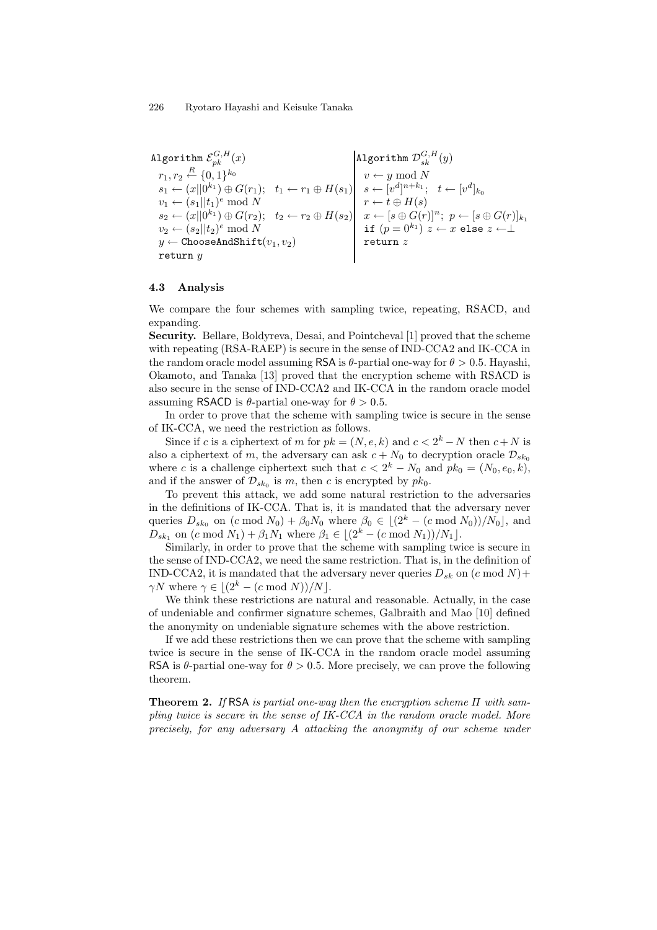Algorithm 
$$
\mathcal{E}_{pk}^{G,H}(x)
$$
\n
$$
r_1, r_2 \stackrel{R}{\leftarrow} \{0,1\}^{k_0}
$$
\n
$$
s_1 \leftarrow (x||0^{k_1}) \oplus G(r_1); \quad t_1 \leftarrow r_1 \oplus H(s_1)
$$
\n
$$
v_2 \leftarrow (s_1||t_1)^e \mod N
$$
\n
$$
s_2 \leftarrow (x||0^{k_1}) \oplus G(r_2); \quad t_2 \leftarrow r_2 \oplus H(s_2)
$$
\n
$$
v_2 \leftarrow (s_2||t_2)^e \mod N
$$
\n
$$
v_2 \leftarrow (s_2||t_2)^e \mod N
$$
\n
$$
y \leftarrow \text{ChooseAndShift}(v_1, v_2)
$$
\n
$$
v_2 \leftarrow (s_2||t_2)^e \mod N
$$
\n
$$
v_2 \leftarrow (s_2||t_2)^e \mod N
$$
\n
$$
v_2 \leftarrow (s_2||t_2)^e \mod N
$$
\n
$$
v_2 \leftarrow (s_2||t_2)^e \mod N
$$
\n
$$
v_2 \leftarrow (s_2||t_2)^e \mod N
$$
\n
$$
v_2 \leftarrow (s_2||t_2)^e \mod N
$$
\n
$$
v_2 \leftarrow (s_2||t_2)^e \mod N
$$
\n
$$
v_2 \leftarrow (s_2||t_2)^e \mod N
$$
\n
$$
v_2 \leftarrow (s_2||t_2)^e \mod N
$$
\n
$$
v_2 \leftarrow (s_2||t_2)^e \mod N
$$
\n
$$
v_2 \leftarrow (s_2||t_2)^e \mod N
$$
\n
$$
v_2 \leftarrow (s_2||t_2)^e \mod N
$$
\n
$$
v_2 \leftarrow (s_2||t_2)^e \mod N
$$
\n
$$
v_2 \leftarrow (s_2||t_2)^e \mod N
$$
\n
$$
v_2 \leftarrow (s_2||t_2)^e \mod N
$$
\n
$$
v_2 \leftarrow (s_2||t_2)^e \mod N
$$
\n
$$
v_2 \leftarrow (s_2||t_2)^e \
$$

#### 4.3 Analysis

We compare the four schemes with sampling twice, repeating, RSACD, and expanding.

Security. Bellare, Boldyreva, Desai, and Pointcheval [1] proved that the scheme with repeating (RSA-RAEP) is secure in the sense of IND-CCA2 and IK-CCA in the random oracle model assuming RSA is  $\theta$ -partial one-way for  $\theta > 0.5$ . Hayashi, Okamoto, and Tanaka [13] proved that the encryption scheme with RSACD is also secure in the sense of IND-CCA2 and IK-CCA in the random oracle model assuming RSACD is  $\theta$ -partial one-way for  $\theta > 0.5$ .

In order to prove that the scheme with sampling twice is secure in the sense of IK-CCA, we need the restriction as follows.

Since if c is a ciphertext of m for  $pk = (N, e, k)$  and  $c < 2<sup>k</sup> - N$  then  $c + N$  is also a ciphertext of m, the adversary can ask  $c + N_0$  to decryption oracle  $\mathcal{D}_{sk_0}$ where c is a challenge ciphertext such that  $c < 2<sup>k</sup> - N_0$  and  $pk_0 = (N_0, e_0, k)$ , and if the answer of  $\mathcal{D}_{sk_0}$  is m, then c is encrypted by  $pk_0$ .

To prevent this attack, we add some natural restriction to the adversaries in the definitions of IK-CCA. That is, it is mandated that the adversary never queries  $D_{sk_0}$  on  $(c \mod N_0) + \beta_0 N_0$  where  $\beta_0 \in \lfloor (2^k - (c \mod N_0))/N_0 \rfloor$ , and  $D_{sk_1}$  on  $(c \mod N_1) + \beta_1 N_1$  where  $\beta_1 \in |(2^k - (c \mod N_1))/N_1|$ .

Similarly, in order to prove that the scheme with sampling twice is secure in the sense of IND-CCA2, we need the same restriction. That is, in the definition of IND-CCA2, it is mandated that the adversary never queries  $D_{sk}$  on  $(c \mod N)$ +  $\gamma N$  where  $\gamma \in |(2^k - (c \mod N))/N|.$ 

We think these restrictions are natural and reasonable. Actually, in the case of undeniable and confirmer signature schemes, Galbraith and Mao [10] defined the anonymity on undeniable signature schemes with the above restriction.

If we add these restrictions then we can prove that the scheme with sampling twice is secure in the sense of IK-CCA in the random oracle model assuming RSA is  $\theta$ -partial one-way for  $\theta > 0.5$ . More precisely, we can prove the following theorem.

**Theorem 2.** If RSA is partial one-way then the encryption scheme  $\Pi$  with sampling twice is secure in the sense of IK-CCA in the random oracle model. More precisely, for any adversary A attacking the anonymity of our scheme under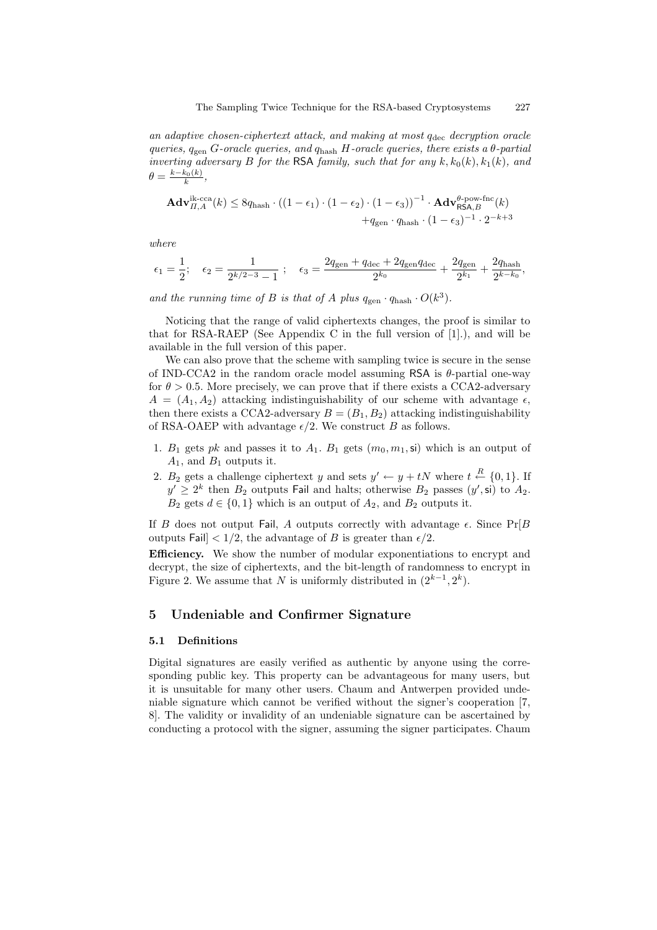an adaptive chosen-ciphertext attack, and making at most  $q_{\text{dec}}$  decryption oracle queries,  $q_{gen}$  G-oracle queries, and  $q_{hash}$  H-oracle queries, there exists a  $\theta$ -partial inverting adversary B for the RSA family, such that for any  $k, k_0(k), k_1(k)$ , and  $\theta = \frac{k-k_0(k)}{k},$ 

$$
\mathbf{Adv}_{H,A}^{\text{ik-cca}}(k) \leq 8q_{\text{hash}} \cdot ((1 - \epsilon_1) \cdot (1 - \epsilon_2) \cdot (1 - \epsilon_3))^{-1} \cdot \mathbf{Adv}_{\text{RSA},B}^{\theta\text{-pow-fnc}}(k) + q_{\text{gen}} \cdot q_{\text{hash}} \cdot (1 - \epsilon_3)^{-1} \cdot 2^{-k+3}
$$

where

$$
\epsilon_1 = \frac{1}{2}; \quad \epsilon_2 = \frac{1}{2^{k/2-3}-1} \ ; \quad \epsilon_3 = \frac{2q_{\text{gen}}+q_{\text{dec}}+2q_{\text{gen}}q_{\text{dec}}}{2^{k_0}} + \frac{2q_{\text{gen}}}{2^{k_1}} + \frac{2q_{\text{hash}}}{2^{k-k_0}},
$$

and the running time of B is that of A plus  $q_{gen} \cdot q_{hash} \cdot O(k^3)$ .

Noticing that the range of valid ciphertexts changes, the proof is similar to that for RSA-RAEP (See Appendix C in the full version of [1].), and will be available in the full version of this paper.

We can also prove that the scheme with sampling twice is secure in the sense of IND-CCA2 in the random oracle model assuming RSA is  $\theta$ -partial one-way for  $\theta > 0.5$ . More precisely, we can prove that if there exists a CCA2-adversary  $A = (A_1, A_2)$  attacking indistinguishability of our scheme with advantage  $\epsilon$ . then there exists a CCA2-adversary  $B = (B_1, B_2)$  attacking indistinguishability of RSA-OAEP with advantage  $\epsilon/2$ . We construct B as follows.

- 1.  $B_1$  gets pk and passes it to  $A_1$ .  $B_1$  gets  $(m_0, m_1, \text{si})$  which is an output of  $A_1$ , and  $B_1$  outputs it.
- 2.  $B_2$  gets a challenge ciphertext y and sets  $y' \leftarrow y + tN$  where  $t \stackrel{R}{\leftarrow} \{0,1\}$ . If  $y' \geq 2^k$  then  $B_2$  outputs Fail and halts; otherwise  $B_2$  passes  $(y',\mathsf{si})$  to  $A_2$ .  $B_2$  gets  $d \in \{0,1\}$  which is an output of  $A_2$ , and  $B_2$  outputs it.

If B does not output Fail, A outputs correctly with advantage  $\epsilon$ . Since Pr[B outputs Fail  $\langle 1/2$ , the advantage of B is greater than  $\epsilon/2$ .

Efficiency. We show the number of modular exponentiations to encrypt and decrypt, the size of ciphertexts, and the bit-length of randomness to encrypt in Figure 2. We assume that N is uniformly distributed in  $(2^{k-1}, 2^k)$ .

# 5 Undeniable and Confirmer Signature

## 5.1 Definitions

Digital signatures are easily verified as authentic by anyone using the corresponding public key. This property can be advantageous for many users, but it is unsuitable for many other users. Chaum and Antwerpen provided undeniable signature which cannot be verified without the signer's cooperation [7, 8]. The validity or invalidity of an undeniable signature can be ascertained by conducting a protocol with the signer, assuming the signer participates. Chaum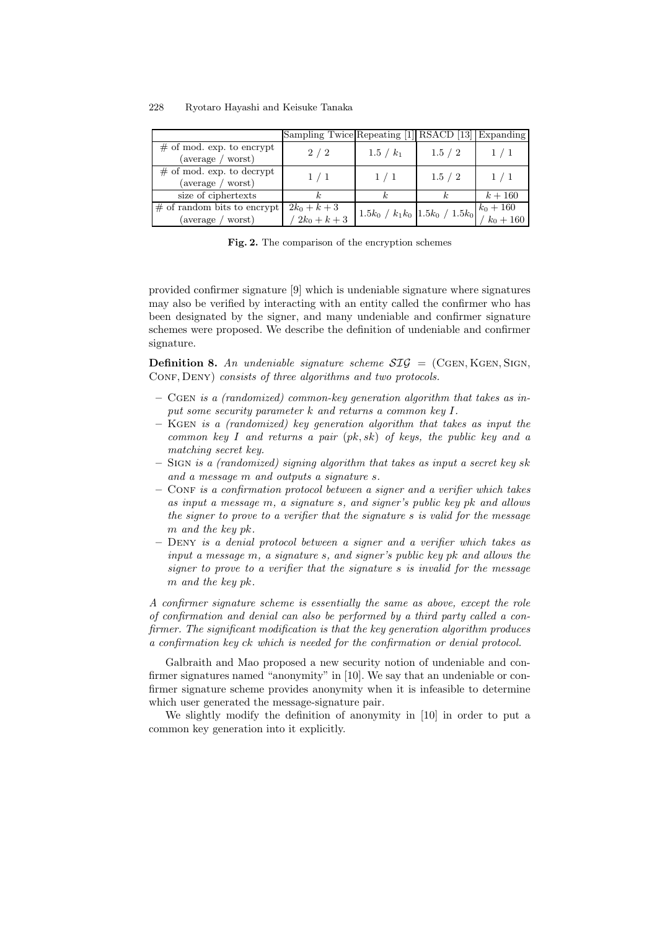|                                                                | Sampling Twice Repeating [1] RSACD [13] Expanding |             |                                                                                                |           |
|----------------------------------------------------------------|---------------------------------------------------|-------------|------------------------------------------------------------------------------------------------|-----------|
| $#$ of mod. exp. to encrypt<br>(average / worst)               | 2/2                                               | $1.5 / k_1$ | 1.5 / 2                                                                                        | 1/1       |
| # of mod. exp. to decrypt<br>$(\text{average} / \text{worst})$ | 1/1                                               | 1/1         | 1.5 / 2                                                                                        | 1/1       |
| size of ciphertexts                                            |                                                   | k.          |                                                                                                | $k + 160$ |
| $\#$ of random bits to encrypt<br>(average / worst)            | $2k_0 + k + 3$<br>$2k_0 + k + 3$                  |             | 1.5 $k_0$ / $k_1k_0$ 1.5 $k_0$ / 1.5 $k_0$ $\begin{array}{c c} k_0+160 \\ k_0+160 \end{array}$ |           |

Fig. 2. The comparison of the encryption schemes

provided confirmer signature [9] which is undeniable signature where signatures may also be verified by interacting with an entity called the confirmer who has been designated by the signer, and many undeniable and confirmer signature schemes were proposed. We describe the definition of undeniable and confirmer signature.

Definition 8. An undeniable signature scheme SIG = (Cgen, Kgen, Sign, CONF, DENY) consists of three algorithms and two protocols.

- $-$  CGEN is a (randomized) common-key generation algorithm that takes as input some security parameter k and returns a common key I.
- $-$  KGEN is a (randomized) key generation algorithm that takes as input the common key I and returns a pair  $(pk, sk)$  of keys, the public key and a matching secret key.
- $-$  SIGN is a (randomized) signing algorithm that takes as input a secret key sk and a message m and outputs a signature s.
- $-$  CONF is a confirmation protocol between a signer and a verifier which takes as input a message m, a signature s, and signer's public key pk and allows the signer to prove to a verifier that the signature s is valid for the message m and the key pk.
- Deny is a denial protocol between a signer and a verifier which takes as input a message m, a signature s, and signer's public key pk and allows the signer to prove to a verifier that the signature s is invalid for the message m and the key pk.

A confirmer signature scheme is essentially the same as above, except the role of confirmation and denial can also be performed by a third party called a confirmer. The significant modification is that the key generation algorithm produces a confirmation key ck which is needed for the confirmation or denial protocol.

Galbraith and Mao proposed a new security notion of undeniable and confirmer signatures named "anonymity" in [10]. We say that an undeniable or confirmer signature scheme provides anonymity when it is infeasible to determine which user generated the message-signature pair.

We slightly modify the definition of anonymity in [10] in order to put a common key generation into it explicitly.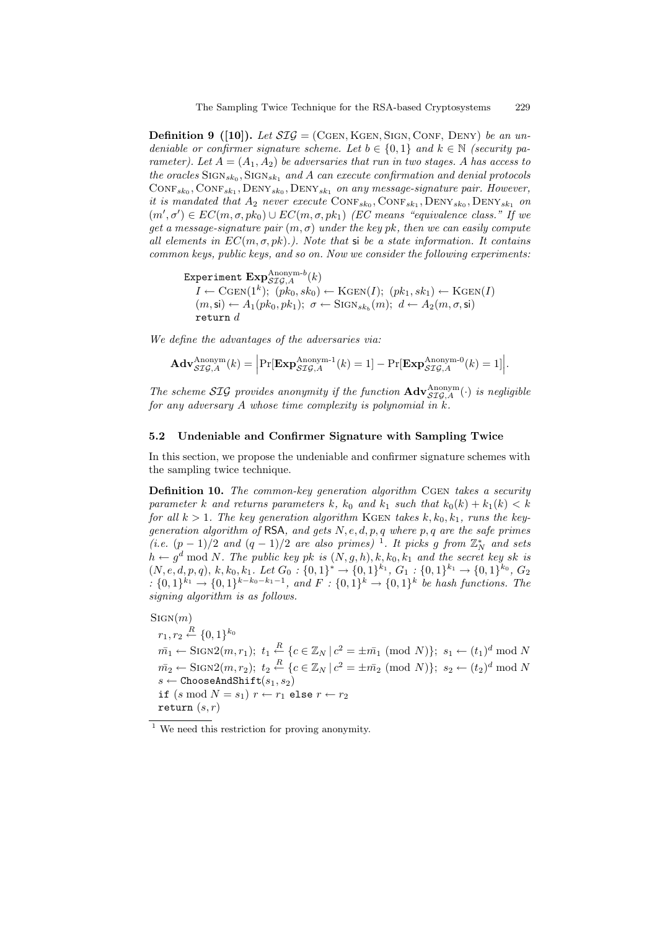**Definition 9** ([10]). Let  $\mathcal{SIG} = (CGEN, KGEN, SIGN, CONF, DENY)$  be an undeniable or confirmer signature scheme. Let  $b \in \{0,1\}$  and  $k \in \mathbb{N}$  (security parameter). Let  $A = (A_1, A_2)$  be adversaries that run in two stages. A has access to the oracles  $\text{SIGN}_{sk_0}$ ,  $\text{SIGN}_{sk_1}$  and A can execute confirmation and denial protocols  $\text{CONF}_{sk_0}, \text{CONF}_{sk_1}, \text{DENY}_{sk_0}, \text{DENY}_{sk_1}$  on any message-signature pair. However, it is mandated that  $A_2$  never execute  $\text{CONF}_{sk_0}$ ,  $\text{Conv}_{sk_1}$ ,  $\text{DENY}_{sk_0}$ ,  $\text{DENY}_{sk_1}$  on  $(m', \sigma') \in EC(m, \sigma, pk_0) \cup EC(m, \sigma, pk_1)$  (EC means "equivalence class." If we get a message-signature pair  $(m, \sigma)$  under the key pk, then we can easily compute all elements in  $EC(m, \sigma, pk)$ .). Note that si be a state information. It contains common keys, public keys, and so on. Now we consider the following experiments:

Experiment  $\mathrm{Exp}^\mathrm{Anonym-}b_{\mathcal{SIG},A}(k)$  $I \leftarrow \text{CGEN}(1^k); \ (\overline{pk}_0, sk_0) \leftarrow \text{KGEN}(I); \ (\overline{pk}_1, sk_1) \leftarrow \text{KGEN}(I)$  $(m, \mathsf{si}) \leftarrow A_1(pk_0, pk_1); \ \sigma \leftarrow \text{SIGN}_{sk_b}(m); \ d \leftarrow A_2(m, \sigma, \mathsf{si})$ return  $d$ 

We define the advantages of the adversaries via:

$$
\mathbf{Adv}_{\mathcal{SIG},A}^{\mathrm{Anonym}}(k) = \left| \Pr[\mathbf{Exp}_{\mathcal{SIG},A}^{\mathrm{Anonym-1}}(k) = 1] - \Pr[\mathbf{Exp}_{\mathcal{SIG},A}^{\mathrm{Anonym-0}}(k) = 1] \right|.
$$

The scheme SIG provides anonymity if the function  $\text{Adv}_{STG,A}^{\text{Anonym}}(\cdot)$  is negligible for any adversary A whose time complexity is polynomial in  $k$ .

#### 5.2 Undeniable and Confirmer Signature with Sampling Twice

In this section, we propose the undeniable and confirmer signature schemes with the sampling twice technique.

Definition 10. The common-key generation algorithm CGEN takes a security parameter k and returns parameters k,  $k_0$  and  $k_1$  such that  $k_0(k) + k_1(k) < k$ for all  $k > 1$ . The key generation algorithm KGEN takes  $k, k_0, k_1$ , runs the keygeneration algorithm of RSA, and gets  $N, e, d, p, q$  where p, q are the safe primes (i.e.  $(p-1)/2$  and  $(q-1)/2$  are also primes) <sup>1</sup>. It picks g from  $\mathbb{Z}_N^*$  and sets  $h \leftarrow g^d \mod N$ . The public key pk is  $(N, g, h), k, k_0, k_1$  and the secret key sk is  $(N, e, d, p, q), k, k_0, k_1$ . Let  $G_0: \{0, 1\}^* \rightarrow \{0, 1\}^{k_1}$ ,  $G_1: \{0, 1\}^{k_1} \rightarrow \{0, 1\}^{k_0}$ ,  $G_2$ : {0, 1}<sup>k<sub>1</sub></sup> → {0, 1}<sup>k-k<sub>0</sub>-k<sub>1</sub>-1</sub>, and F : {0, 1}<sup>k</sup> → {0, 1}<sup>k</sup> be hash functions. The</sup> signing algorithm is as follows.

 $S_{\text{IGN}}(m)$ 

 $r_1, r_2 \stackrel{R}{\leftarrow} \{0,1\}^{k_0}$  $m_1 \leftarrow \text{SiGN2}(m, r_1); t_1 \stackrel{R}{\leftarrow} \{c \in \mathbb{Z}_N \, | \, c^2 = \pm m_1 \pmod{N} \}; s_1 \leftarrow (t_1)^d \bmod{N}$  $m_2 \leftarrow \text{SiGN2}(m, r_2); t_2 \stackrel{R}{\leftarrow} \{c \in \mathbb{Z}_N \, | \, c^2 = \pm \bar{m_2} \pmod{N} \}; s_2 \leftarrow (t_2)^d \bmod N$  $s \leftarrow$ ChooseAndShift $(s_1, s_2)$ if  $(s \mod N = s_1)$   $r \leftarrow r_1$  else  $r \leftarrow r_2$ return  $(s, r)$ 

<sup>1</sup> We need this restriction for proving anonymity.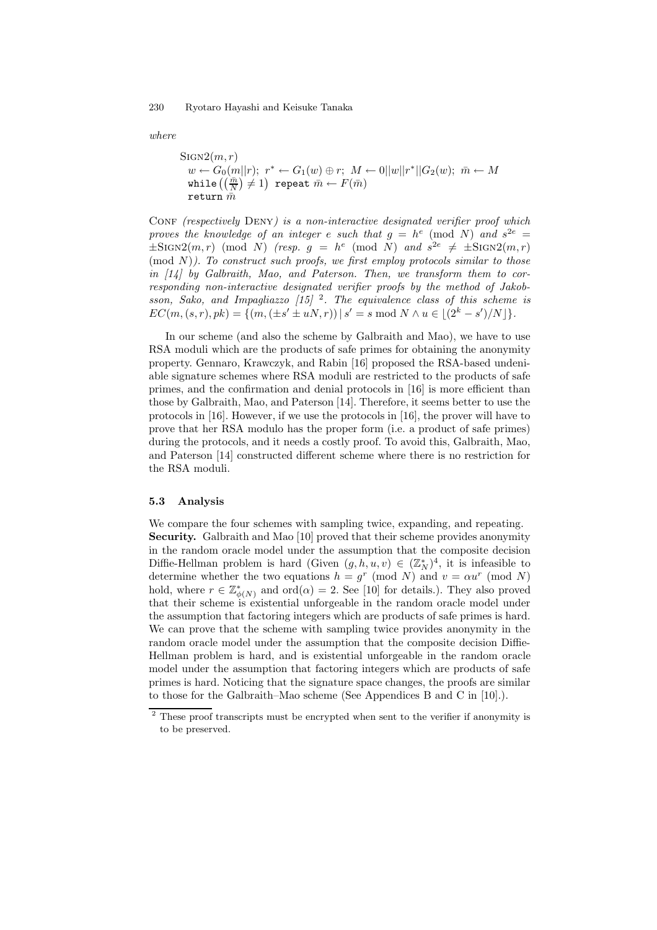where

```
S_{\text{IGN2}}(m, r)w \leftarrow G_0(m||r); \; r^* \leftarrow G_1(w) \oplus r; \; M \leftarrow 0||w||r^*||G_2(w); \; \bar{m} \leftarrow Mwhile \left(\left(\frac{\bar{m}}{N}\right) \neq 1\right) repeat \bar{m} \leftarrow F(\bar{m})return \bar{m}
```
CONF (respectively  $DENY$ ) is a non-interactive designated verifier proof which proves the knowledge of an integer e such that  $g = h^e \pmod{N}$  and  $s^{2e} =$  $\pm$ SIGN2 $(m,r)$  (mod N) (resp.  $g = h^e$  (mod N) and  $s^{2e} \neq \pm$ SIGN2 $(m,r)$  $(\text{mod } N)$ ). To construct such proofs, we first employ protocols similar to those in  $[14]$  by Galbraith, Mao, and Paterson. Then, we transform them to corresponding non-interactive designated verifier proofs by the method of Jakobsson, Sako, and Impagliazzo  $[15]$ <sup>2</sup>. The equivalence class of this scheme is  $EC(m, (s, r), pk) = \{(m, (\pm s' \pm uN, r)) | s' = s \bmod N \land u \in [(2^k - s')/N] \}.$ 

In our scheme (and also the scheme by Galbraith and Mao), we have to use RSA moduli which are the products of safe primes for obtaining the anonymity property. Gennaro, Krawczyk, and Rabin [16] proposed the RSA-based undeniable signature schemes where RSA moduli are restricted to the products of safe primes, and the confirmation and denial protocols in [16] is more efficient than those by Galbraith, Mao, and Paterson [14]. Therefore, it seems better to use the protocols in [16]. However, if we use the protocols in [16], the prover will have to prove that her RSA modulo has the proper form (i.e. a product of safe primes) during the protocols, and it needs a costly proof. To avoid this, Galbraith, Mao, and Paterson [14] constructed different scheme where there is no restriction for the RSA moduli.

#### 5.3 Analysis

We compare the four schemes with sampling twice, expanding, and repeating. Security. Galbraith and Mao [10] proved that their scheme provides anonymity in the random oracle model under the assumption that the composite decision Diffie-Hellman problem is hard (Given  $(g, h, u, v) \in (\mathbb{Z}_N^*)^4$ , it is infeasible to determine whether the two equations  $h = g^r \pmod{N}$  and  $v = \alpha u^r \pmod{N}$ hold, where  $r \in \mathbb{Z}_{\phi(N)}^{*}$  and  $\text{ord}(\alpha) = 2$ . See [10] for details.). They also proved that their scheme is existential unforgeable in the random oracle model under the assumption that factoring integers which are products of safe primes is hard. We can prove that the scheme with sampling twice provides anonymity in the random oracle model under the assumption that the composite decision Diffie-Hellman problem is hard, and is existential unforgeable in the random oracle model under the assumption that factoring integers which are products of safe primes is hard. Noticing that the signature space changes, the proofs are similar to those for the Galbraith–Mao scheme (See Appendices B and C in [10].).

<sup>&</sup>lt;sup>2</sup> These proof transcripts must be encrypted when sent to the verifier if anonymity is to be preserved.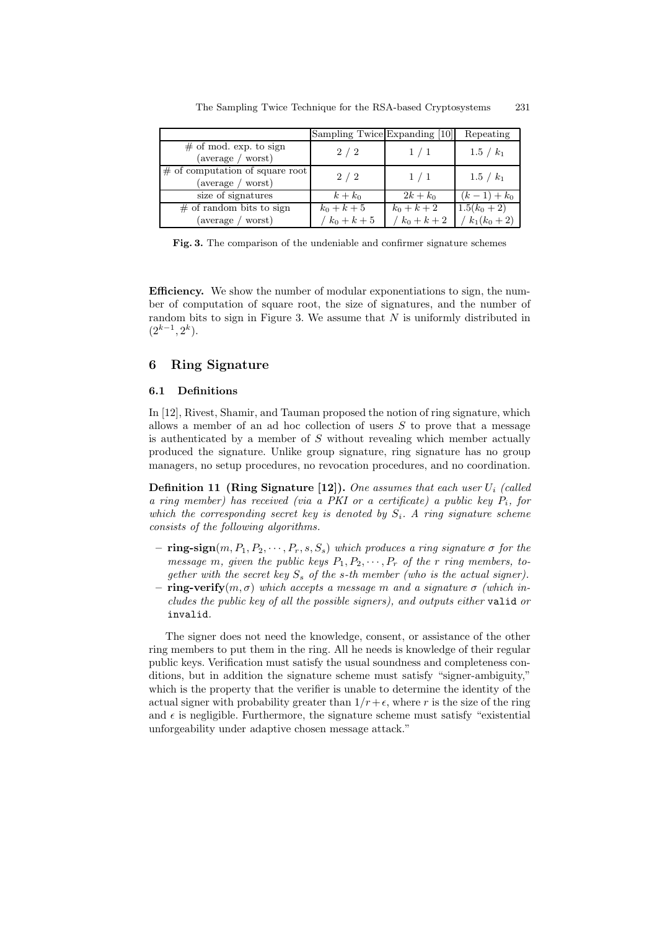|                                                         | Sampling Twice Expanding [10] |                 | Repeating      |
|---------------------------------------------------------|-------------------------------|-----------------|----------------|
| $\#$ of mod. exp. to sign<br>(average / worst)          | 2/2                           | 1/1             | $1.5 / k_1$    |
| $\#$ of computation of square root<br>(average / worst) | 2/2                           | 1/1             | $1.5 / k_1$    |
| size of signatures                                      | $k+k_0$                       | $2k + k_0$      | $(k-1) + k_0$  |
| $#$ of random bits to sign                              | $k_0 + k + 5$                 | $k_0 + k + 2$   | $1.5(k_0+2)$   |
| (average / worst)                                       | / $k_0 + k + 5$               | / $k_0 + k + 2$ | / $k_1(k_0+2)$ |

Fig. 3. The comparison of the undeniable and confirmer signature schemes

**Efficiency.** We show the number of modular exponentiations to sign, the number of computation of square root, the size of signatures, and the number of random bits to sign in Figure 3. We assume that  $N$  is uniformly distributed in  $(2^{k-1}, 2^k).$ 

# 6 Ring Signature

## 6.1 Definitions

In [12], Rivest, Shamir, and Tauman proposed the notion of ring signature, which allows a member of an ad hoc collection of users  $S$  to prove that a message is authenticated by a member of  $S$  without revealing which member actually produced the signature. Unlike group signature, ring signature has no group managers, no setup procedures, no revocation procedures, and no coordination.

**Definition 11 (Ring Signature [12]).** One assumes that each user  $U_i$  (called a ring member) has received (via a PKI or a certificate) a public key  $P_i$ , for which the corresponding secret key is denoted by  $S_i$ . A ring signature scheme consists of the following algorithms.

- $-$  ring-sign $(m, P_1, P_2, \cdots, P_r, s, S_s)$  which produces a ring signature  $\sigma$  for the message m, given the public keys  $P_1, P_2, \cdots, P_r$  of the r ring members, together with the secret key  $S_s$  of the s-th member (who is the actual signer).
- $-$  ring-verify(m, σ) which accepts a message m and a signature σ (which includes the public key of all the possible signers), and outputs either valid or invalid.

The signer does not need the knowledge, consent, or assistance of the other ring members to put them in the ring. All he needs is knowledge of their regular public keys. Verification must satisfy the usual soundness and completeness conditions, but in addition the signature scheme must satisfy "signer-ambiguity," which is the property that the verifier is unable to determine the identity of the actual signer with probability greater than  $1/r + \epsilon$ , where r is the size of the ring and  $\epsilon$  is negligible. Furthermore, the signature scheme must satisfy "existential unforgeability under adaptive chosen message attack."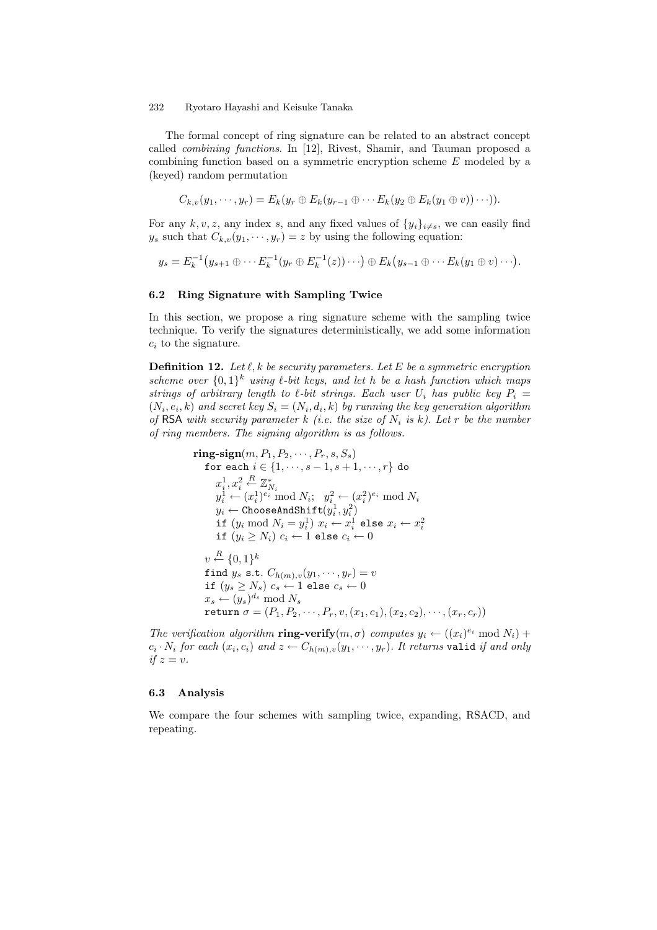The formal concept of ring signature can be related to an abstract concept called combining functions. In [12], Rivest, Shamir, and Tauman proposed a combining function based on a symmetric encryption scheme  $E$  modeled by a (keyed) random permutation

$$
C_{k,v}(y_1,\dots,y_r)=E_k(y_r\oplus E_k(y_{r-1}\oplus \dots E_k(y_2\oplus E_k(y_1\oplus v))\dots)).
$$

For any k, v, z, any index s, and any fixed values of  $\{y_i\}_{i\neq s}$ , we can easily find  $y_s$  such that  $C_{k,v}(y_1,\dots,y_r)=z$  by using the following equation:

$$
y_s = E_k^{-1}(y_{s+1} \oplus \cdots E_k^{-1}(y_r \oplus E_k^{-1}(z)) \cdots ) \oplus E_k(y_{s-1} \oplus \cdots E_k(y_1 \oplus v) \cdots ).
$$

#### 6.2 Ring Signature with Sampling Twice

In this section, we propose a ring signature scheme with the sampling twice technique. To verify the signatures deterministically, we add some information  $c_i$  to the signature.

**Definition 12.** Let  $\ell, k$  be security parameters. Let E be a symmetric encryption scheme over  $\{0,1\}^k$  using  $\ell$ -bit keys, and let h be a hash function which maps strings of arbitrary length to  $\ell$ -bit strings. Each user  $U_i$  has public key  $P_i =$  $(N_i, e_i, k)$  and secret key  $S_i = (N_i, d_i, k)$  by running the key generation algorithm of RSA with security parameter k (i.e. the size of  $N_i$  is k). Let r be the number of ring members. The signing algorithm is as follows.

```
\mathtt{ring-sign}(m, P_1, P_2, \cdots, P_r, s, S_s)for each i\in\{1,\cdots,s-1,s+1,\cdots,r\} do
         x_i^1, x_i^2 \stackrel{R}{\leftarrow} \mathbb{Z}_{N_i}^*<br>
y_i^1 \leftarrow (x_i^1)^{e_i} \mod N_i; \quad y_i^2 \leftarrow (x_i^2)^{e_i} \mod N_iy_i \leftarrow \texttt{ChooseAndShift}(y_i^1, y_i^2)if (y_i \bmod N_i = y_i^1) x_i \leftarrow x_i^1 else x_i \leftarrow x_i^2<br>if (y_i \ge N_i) c_i \leftarrow 1 else c_i \leftarrow 0v \stackrel{R}{\leftarrow} \{0,1\}^kfind y_s s.t. C_{h(m),v}(y_1,\dots,y_r)=vif (y_s \geq N_s) c_s \leftarrow 1 else c_s \leftarrow 0x_s \leftarrow (y_s)^{d_s} \text{ mod } N_sreturn \sigma = (P_1, P_2, \cdots, P_r, v, (x_1, c_1), (x_2, c_2), \cdots, (x_r, c_r))
```
The verification algorithm **ring-verify** $(m, \sigma)$  computes  $y_i \leftarrow ((x_i)^{e_i} \mod N_i)$  +  $c_i \cdot N_i$  for each  $(x_i, c_i)$  and  $z \leftarrow C_{h(m),v}(y_1, \cdots, y_r).$  It returns valid if and only if  $z = v$ .

## 6.3 Analysis

We compare the four schemes with sampling twice, expanding, RSACD, and repeating.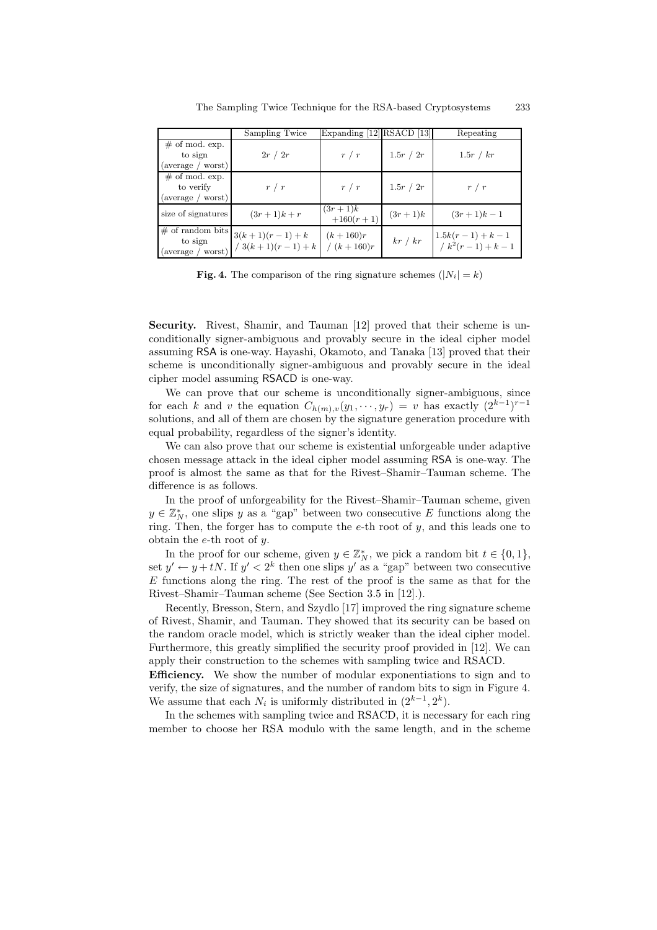|                                                     | Sampling Twice                      | Expanding $[12]$ RSACD $[13]$ |           | Repeating                             |
|-----------------------------------------------------|-------------------------------------|-------------------------------|-----------|---------------------------------------|
| # of mod. exp.<br>to sign<br>(average / worst)      | 2r/2r                               | r / r                         | 1.5r / 2r | 1.5r / kr                             |
| # of mod. exp.<br>to verify<br>(average / worst)    | r/r                                 | r/r                           | 1.5r / 2r | r / r                                 |
| size of signatures                                  | $(3r+1)k+r$                         | $(3r+1)k$<br>$+160(r+1)$      | $(3r+1)k$ | $(3r+1)k-1$                           |
| $\#$ of random bits<br>to sign<br>(average / worst) | $3(k+1)(r-1)+k$<br>$/3(k+1)(r-1)+k$ | $(k+160)r$<br>/ $(k+160)r$    | kr / kr   | $1.5k(r-1) + k - 1$<br>$k^2(r-1)+k-1$ |

**Fig. 4.** The comparison of the ring signature schemes  $(|N_i| = k)$ 

Security. Rivest, Shamir, and Tauman [12] proved that their scheme is unconditionally signer-ambiguous and provably secure in the ideal cipher model assuming RSA is one-way. Hayashi, Okamoto, and Tanaka [13] proved that their scheme is unconditionally signer-ambiguous and provably secure in the ideal cipher model assuming RSACD is one-way.

We can prove that our scheme is unconditionally signer-ambiguous, since for each k and v the equation  $C_{h(m),v}(y_1,\dots,y_r) = v$  has exactly  $(2^{k-1})^{r-1}$ solutions, and all of them are chosen by the signature generation procedure with equal probability, regardless of the signer's identity.

We can also prove that our scheme is existential unforgeable under adaptive chosen message attack in the ideal cipher model assuming RSA is one-way. The proof is almost the same as that for the Rivest–Shamir–Tauman scheme. The difference is as follows.

In the proof of unforgeability for the Rivest–Shamir–Tauman scheme, given  $y \in \mathbb{Z}_N^*$ , one slips y as a "gap" between two consecutive E functions along the ring. Then, the forger has to compute the  $e$ -th root of  $y$ , and this leads one to obtain the  $e$ -th root of  $y$ .

In the proof for our scheme, given  $y \in \mathbb{Z}_N^*$ , we pick a random bit  $t \in \{0,1\}$ , set  $y' \leftarrow y + tN$ . If  $y' < 2^k$  then one slips  $y'$  as a "gap" between two consecutive  $E$  functions along the ring. The rest of the proof is the same as that for the Rivest–Shamir–Tauman scheme (See Section 3.5 in [12].).

Recently, Bresson, Stern, and Szydlo [17] improved the ring signature scheme of Rivest, Shamir, and Tauman. They showed that its security can be based on the random oracle model, which is strictly weaker than the ideal cipher model. Furthermore, this greatly simplified the security proof provided in [12]. We can apply their construction to the schemes with sampling twice and RSACD.

Efficiency. We show the number of modular exponentiations to sign and to verify, the size of signatures, and the number of random bits to sign in Figure 4. We assume that each  $N_i$  is uniformly distributed in  $(2^{k-1}, 2^k)$ .

In the schemes with sampling twice and RSACD, it is necessary for each ring member to choose her RSA modulo with the same length, and in the scheme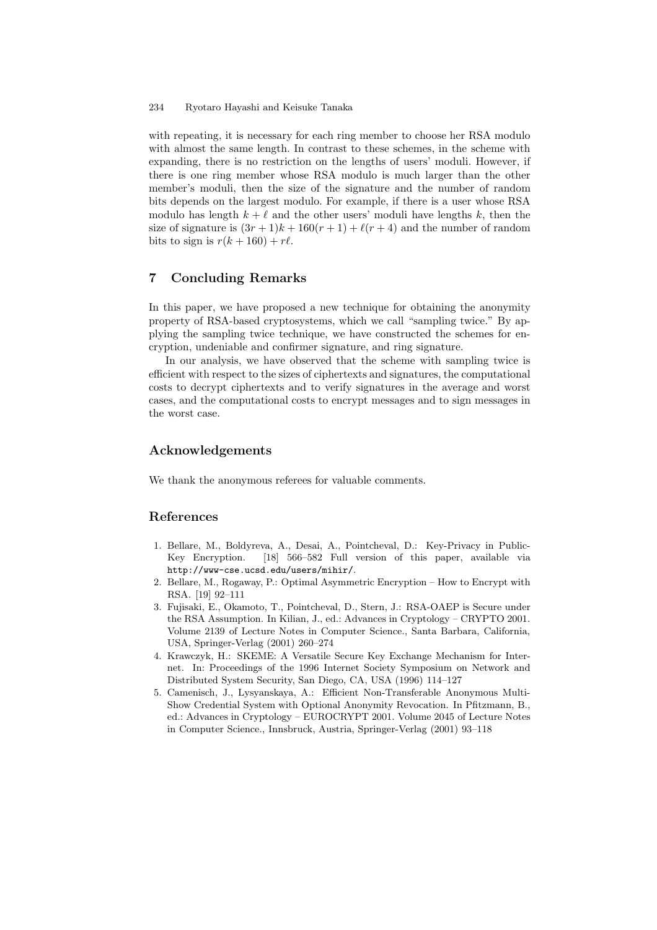with repeating, it is necessary for each ring member to choose her RSA modulo with almost the same length. In contrast to these schemes, in the scheme with expanding, there is no restriction on the lengths of users' moduli. However, if there is one ring member whose RSA modulo is much larger than the other member's moduli, then the size of the signature and the number of random bits depends on the largest modulo. For example, if there is a user whose RSA modulo has length  $k + \ell$  and the other users' moduli have lengths k, then the size of signature is  $(3r + 1)k + 160(r + 1) + \ell(r + 4)$  and the number of random bits to sign is  $r(k + 160) + r\ell$ .

## 7 Concluding Remarks

In this paper, we have proposed a new technique for obtaining the anonymity property of RSA-based cryptosystems, which we call "sampling twice." By applying the sampling twice technique, we have constructed the schemes for encryption, undeniable and confirmer signature, and ring signature.

In our analysis, we have observed that the scheme with sampling twice is efficient with respect to the sizes of ciphertexts and signatures, the computational costs to decrypt ciphertexts and to verify signatures in the average and worst cases, and the computational costs to encrypt messages and to sign messages in the worst case.

# Acknowledgements

We thank the anonymous referees for valuable comments.

## References

- 1. Bellare, M., Boldyreva, A., Desai, A., Pointcheval, D.: Key-Privacy in Public-Key Encryption. [18] 566–582 Full version of this paper, available via http://www-cse.ucsd.edu/users/mihir/.
- 2. Bellare, M., Rogaway, P.: Optimal Asymmetric Encryption How to Encrypt with RSA. [19] 92–111
- 3. Fujisaki, E., Okamoto, T., Pointcheval, D., Stern, J.: RSA-OAEP is Secure under the RSA Assumption. In Kilian, J., ed.: Advances in Cryptology – CRYPTO 2001. Volume 2139 of Lecture Notes in Computer Science., Santa Barbara, California, USA, Springer-Verlag (2001) 260–274
- 4. Krawczyk, H.: SKEME: A Versatile Secure Key Exchange Mechanism for Internet. In: Proceedings of the 1996 Internet Society Symposium on Network and Distributed System Security, San Diego, CA, USA (1996) 114–127
- 5. Camenisch, J., Lysyanskaya, A.: Efficient Non-Transferable Anonymous Multi-Show Credential System with Optional Anonymity Revocation. In Pfitzmann, B., ed.: Advances in Cryptology – EUROCRYPT 2001. Volume 2045 of Lecture Notes in Computer Science., Innsbruck, Austria, Springer-Verlag (2001) 93–118